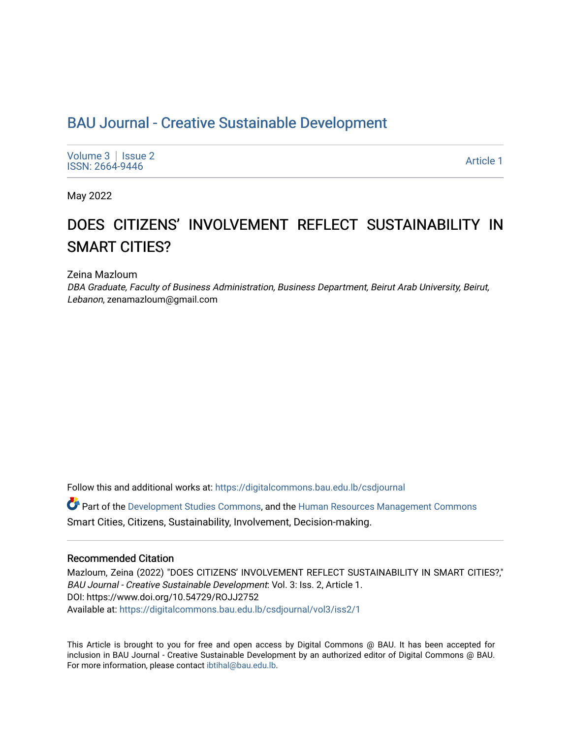# BAU Journal - Creative Sustainable Development

[Volume 3](https://digitalcommons.bau.edu.lb/csdjournal/vol3) | Issue 2 Notative Superior Contract the Superior Contract of the Superior Contract of the [Article 1](https://digitalcommons.bau.edu.lb/csdjournal/vol3/iss2/1) Article 1 Article 1

May 2022

# DOES CITIZENS' INVOLVEMENT REFLECT SUSTAINABILITY IN SMART CITIES?

Zeina Mazloum

DBA Graduate, Faculty of Business Administration, Business Department, Beirut Arab University, Beirut, Lebanon, zenamazloum@gmail.com

Follow this and additional works at: [https://digitalcommons.bau.edu.lb/csdjournal](https://digitalcommons.bau.edu.lb/csdjournal?utm_source=digitalcommons.bau.edu.lb%2Fcsdjournal%2Fvol3%2Fiss2%2F1&utm_medium=PDF&utm_campaign=PDFCoverPages) 

Part of the [Development Studies Commons,](https://network.bepress.com/hgg/discipline/1422?utm_source=digitalcommons.bau.edu.lb%2Fcsdjournal%2Fvol3%2Fiss2%2F1&utm_medium=PDF&utm_campaign=PDFCoverPages) and the [Human Resources Management Commons](https://network.bepress.com/hgg/discipline/633?utm_source=digitalcommons.bau.edu.lb%2Fcsdjournal%2Fvol3%2Fiss2%2F1&utm_medium=PDF&utm_campaign=PDFCoverPages)  Smart Cities, Citizens, Sustainability, Involvement, Decision-making.

#### Recommended Citation

Mazloum, Zeina (2022) "DOES CITIZENS' INVOLVEMENT REFLECT SUSTAINABILITY IN SMART CITIES?," BAU Journal - Creative Sustainable Development: Vol. 3: Iss. 2, Article 1. DOI: https://www.doi.org/10.54729/ROJJ2752 Available at: [https://digitalcommons.bau.edu.lb/csdjournal/vol3/iss2/1](https://digitalcommons.bau.edu.lb/csdjournal/vol3/iss2/1?utm_source=digitalcommons.bau.edu.lb%2Fcsdjournal%2Fvol3%2Fiss2%2F1&utm_medium=PDF&utm_campaign=PDFCoverPages) 

This Article is brought to you for free and open access by Digital Commons @ BAU. It has been accepted for inclusion in BAU Journal - Creative Sustainable Development by an authorized editor of Digital Commons @ BAU. For more information, please contact [ibtihal@bau.edu.lb.](mailto:ibtihal@bau.edu.lb)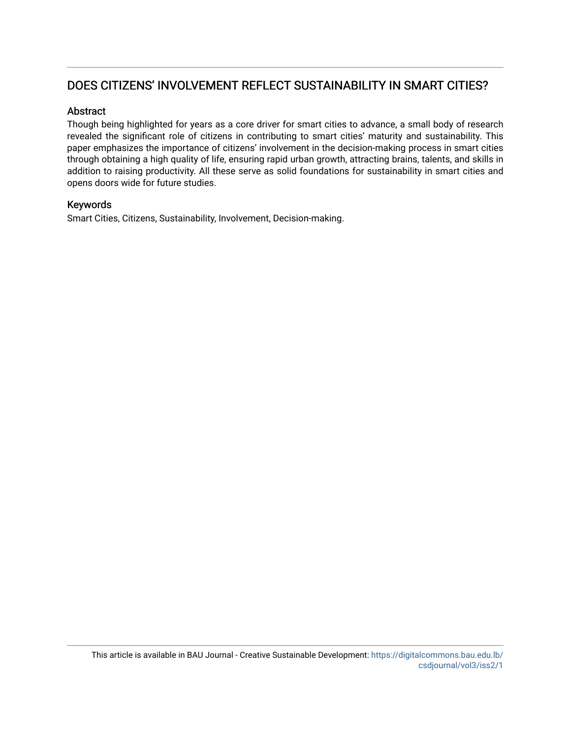# DOES CITIZENS' INVOLVEMENT REFLECT SUSTAINABILITY IN SMART CITIES?

# Abstract

Though being highlighted for years as a core driver for smart cities to advance, a small body of research revealed the significant role of citizens in contributing to smart cities' maturity and sustainability. This paper emphasizes the importance of citizens' involvement in the decision-making process in smart cities through obtaining a high quality of life, ensuring rapid urban growth, attracting brains, talents, and skills in addition to raising productivity. All these serve as solid foundations for sustainability in smart cities and opens doors wide for future studies.

# Keywords

Smart Cities, Citizens, Sustainability, Involvement, Decision-making.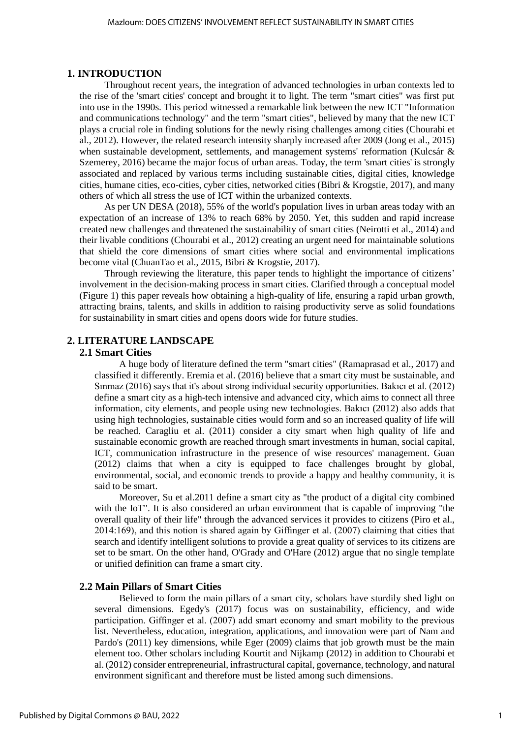#### **1. INTRODUCTION**

Throughout recent years, the integration of advanced technologies in urban contexts led to the rise of the 'smart cities' concept and brought it to light. The term "smart cities" was first put into use in the 1990s. This period witnessed a remarkable link between the new ICT "Information and communications technology" and the term "smart cities", believed by many that the new ICT plays a crucial role in finding solutions for the newly rising challenges among cities (Chourabi et al., 2012). However, the related research intensity sharply increased after 2009 (Jong et al., 2015) when sustainable development, settlements, and management systems' reformation (Kulcsár & Szemerey, 2016) became the major focus of urban areas. Today, the term 'smart cities' is strongly associated and replaced by various terms including sustainable cities, digital cities, knowledge cities, humane cities, eco-cities, cyber cities, networked cities (Bibri & Krogstie, 2017), and many others of which all stress the use of ICT within the urbanized contexts.

As per UN DESA (2018), 55% of the world's population lives in urban areas today with an expectation of an increase of 13% to reach 68% by 2050. Yet, this sudden and rapid increase created new challenges and threatened the sustainability of smart cities (Neirotti et al., 2014) and their livable conditions (Chourabi et al., 2012) creating an urgent need for maintainable solutions that shield the core dimensions of smart cities where social and environmental implications become vital (ChuanTao et al., 2015, Bibri & Krogstie, 2017).

Through reviewing the literature, this paper tends to highlight the importance of citizens' involvement in the decision-making process in smart cities. Clarified through a conceptual model (Figure 1) this paper reveals how obtaining a high-quality of life, ensuring a rapid urban growth, attracting brains, talents, and skills in addition to raising productivity serve as solid foundations for sustainability in smart cities and opens doors wide for future studies.

# **2. LITERATURE LANDSCAPE**

#### **2.1 Smart Cities**

A huge body of literature defined the term "smart cities" (Ramaprasad et al., 2017) and classified it differently. Eremia et al. (2016) believe that a smart city must be sustainable, and Sınmaz (2016) says that it's about strong individual security opportunities. Bakıcı et al. (2012) define a smart city as a high-tech intensive and advanced city, which aims to connect all three information, city elements, and people using new technologies. Bakıcı (2012) also adds that using high technologies, sustainable cities would form and so an increased quality of life will be reached. Caragliu et al. (2011) consider a city smart when high quality of life and sustainable economic growth are reached through smart investments in human, social capital, ICT, communication infrastructure in the presence of wise resources' management. Guan (2012) claims that when a city is equipped to face challenges brought by global, environmental, social, and economic trends to provide a happy and healthy community, it is said to be smart.

Moreover, Su et al.2011 define a smart city as "the product of a digital city combined with the IoT". It is also considered an urban environment that is capable of improving "the overall quality of their life" through the advanced services it provides to citizens (Piro et al., 2014:169), and this notion is shared again by Giffinger et al. (2007) claiming that cities that search and identify intelligent solutions to provide a great quality of services to its citizens are set to be smart. On the other hand, O'Grady and O'Hare (2012) argue that no single template or unified definition can frame a smart city.

#### **2.2 Main Pillars of Smart Cities**

Believed to form the main pillars of a smart city, scholars have sturdily shed light on several dimensions. Egedy's (2017) focus was on sustainability, efficiency, and wide participation. Giffinger et al. (2007) add smart economy and smart mobility to the previous list. Nevertheless, education, integration, applications, and innovation were part of Nam and Pardo's (2011) key dimensions, while Eger (2009) claims that job growth must be the main element too. Other scholars including Kourtit and Nijkamp (2012) in addition to Chourabi et al. (2012) consider entrepreneurial, infrastructural capital, governance, technology, and natural environment significant and therefore must be listed among such dimensions.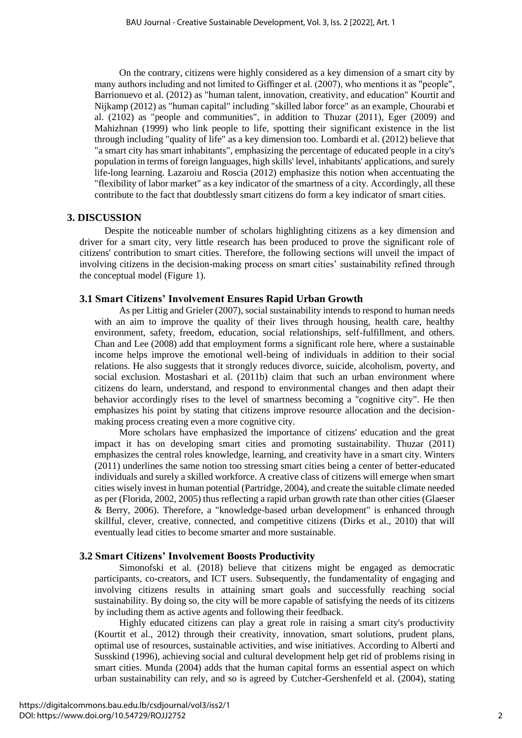On the contrary, citizens were highly considered as a key dimension of a smart city by many authors including and not limited to Giffinger et al. (2007), who mentions it as "people", Barrionuevo et al. (2012) as "human talent, innovation, creativity, and education" Kourtit and Nijkamp (2012) as "human capital" including "skilled labor force" as an example, Chourabi et al. (2102) as "people and communities", in addition to Thuzar (2011), Eger (2009) and Mahizhnan (1999) who link people to life, spotting their significant existence in the list through including "quality of life" as a key dimension too. Lombardi et al. (2012) believe that "a smart city has smart inhabitants", emphasizing the percentage of educated people in a city's population in terms of foreign languages, high skills' level, inhabitants' applications, and surely life-long learning. Lazaroiu and Roscia (2012) emphasize this notion when accentuating the "flexibility of labor market" as a key indicator of the smartness of a city. Accordingly, all these contribute to the fact that doubtlessly smart citizens do form a key indicator of smart cities.

#### **3. DISCUSSION**

Despite the noticeable number of scholars highlighting citizens as a key dimension and driver for a smart city, very little research has been produced to prove the significant role of citizens' contribution to smart cities. Therefore, the following sections will unveil the impact of involving citizens in the decision-making process on smart cities' sustainability refined through the conceptual model (Figure 1).

### **3.1 Smart Citizens' Involvement Ensures Rapid Urban Growth**

As per Littig and Grieler (2007), social sustainability intends to respond to human needs with an aim to improve the quality of their lives through housing, health care, healthy environment, safety, freedom, education, social relationships, self-fulfillment, and others. Chan and Lee (2008) add that employment forms a significant role here, where a sustainable income helps improve the emotional well-being of individuals in addition to their social relations. He also suggests that it strongly reduces divorce, suicide, alcoholism, poverty, and social exclusion. Mostashari et al. (2011b) claim that such an urban environment where citizens do learn, understand, and respond to environmental changes and then adapt their behavior accordingly rises to the level of smartness becoming a "cognitive city". He then emphasizes his point by stating that citizens improve resource allocation and the decisionmaking process creating even a more cognitive city.

More scholars have emphasized the importance of citizens' education and the great impact it has on developing smart cities and promoting sustainability. Thuzar (2011) emphasizes the central roles knowledge, learning, and creativity have in a smart city. Winters (2011) underlines the same notion too stressing smart cities being a center of better-educated individuals and surely a skilled workforce. A creative class of citizens will emerge when smart cities wisely invest in human potential (Partridge, 2004), and create the suitable climate needed as per (Florida, 2002, 2005) thus reflecting a rapid urban growth rate than other cities (Glaeser & Berry, 2006). Therefore, a "knowledge-based urban development" is enhanced through skillful, clever, creative, connected, and competitive citizens (Dirks et al., 2010) that will eventually lead cities to become smarter and more sustainable.

#### **3.2 Smart Citizens' Involvement Boosts Productivity**

Simonofski et al. (2018) believe that citizens might be engaged as democratic participants, co-creators, and ICT users. Subsequently, the fundamentality of engaging and involving citizens results in attaining smart goals and successfully reaching social sustainability. By doing so, the city will be more capable of satisfying the needs of its citizens by including them as active agents and following their feedback.

Highly educated citizens can play a great role in raising a smart city's productivity (Kourtit et al., 2012) through their creativity, innovation, smart solutions, prudent plans, optimal use of resources, sustainable activities, and wise initiatives. According to Alberti and Susskind (1996), achieving social and cultural development help get rid of problems rising in smart cities. Munda (2004) adds that the human capital forms an essential aspect on which urban sustainability can rely, and so is agreed by Cutcher-Gershenfeld et al. (2004), stating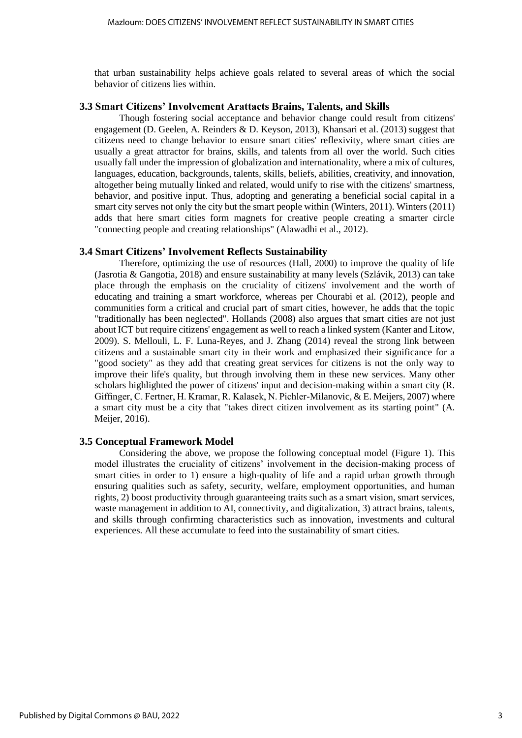that urban sustainability helps achieve goals related to several areas of which the social behavior of citizens lies within.

#### **3.3 Smart Citizens' Involvement Arattacts Brains, Talents, and Skills**

Though fostering social acceptance and behavior change could result from citizens' engagement (D. Geelen, A. Reinders & D. Keyson, 2013), Khansari et al. (2013) suggest that citizens need to change behavior to ensure smart cities' reflexivity, where smart cities are usually a great attractor for brains, skills, and talents from all over the world. Such cities usually fall under the impression of globalization and internationality, where a mix of cultures, languages, education, backgrounds, talents, skills, beliefs, abilities, creativity, and innovation, altogether being mutually linked and related, would unify to rise with the citizens' smartness, behavior, and positive input. Thus, adopting and generating a beneficial social capital in a smart city serves not only the city but the smart people within (Winters, 2011). Winters (2011) adds that here smart cities form magnets for creative people creating a smarter circle "connecting people and creating relationships" (Alawadhi et al., 2012).

#### **3.4 Smart Citizens' Involvement Reflects Sustainability**

Therefore, optimizing the use of resources (Hall, 2000) to improve the quality of life (Jasrotia & Gangotia, 2018) and ensure sustainability at many levels (Szlávik, 2013) can take place through the emphasis on the cruciality of citizens' involvement and the worth of educating and training a smart workforce, whereas per Chourabi et al. (2012), people and communities form a critical and crucial part of smart cities, however, he adds that the topic "traditionally has been neglected". Hollands (2008) also argues that smart cities are not just about ICT but require citizens' engagement as well to reach a linked system (Kanter and Litow, 2009). S. Mellouli, L. F. Luna-Reyes, and J. Zhang (2014) reveal the strong link between citizens and a sustainable smart city in their work and emphasized their significance for a "good society" as they add that creating great services for citizens is not the only way to improve their life's quality, but through involving them in these new services. Many other scholars highlighted the power of citizens' input and decision-making within a smart city (R. Giffinger, C. Fertner, H. Kramar, R. Kalasek, N. Pichler-Milanovic, & E. Meijers, 2007) where a smart city must be a city that "takes direct citizen involvement as its starting point" (A. Meijer, 2016).

#### **3.5 Conceptual Framework Model**

Considering the above, we propose the following conceptual model (Figure 1). This model illustrates the cruciality of citizens' involvement in the decision-making process of smart cities in order to 1) ensure a high-quality of life and a rapid urban growth through ensuring qualities such as safety, security, welfare, employment opportunities, and human rights, 2) boost productivity through guaranteeing traits such as a smart vision, smart services, waste management in addition to AI, connectivity, and digitalization, 3) attract brains, talents, and skills through confirming characteristics such as innovation, investments and cultural experiences. All these accumulate to feed into the sustainability of smart cities.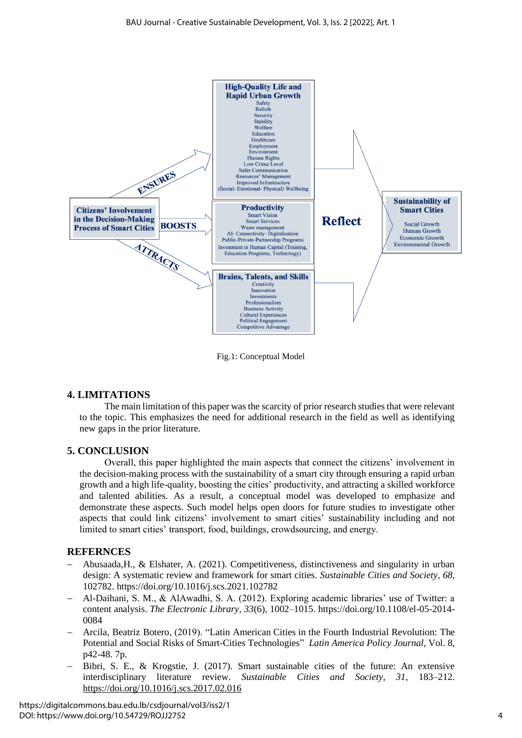

Fig.1: Conceptual Model

# **4. LIMITATIONS**

The main limitation of this paper was the scarcity of prior research studies that were relevant to the topic. This emphasizes the need for additional research in the field as well as identifying new gaps in the prior literature.

# **5. CONCLUSION**

Overall, this paper highlighted the main aspects that connect the citizens' involvement in the decision-making process with the sustainability of a smart city through ensuring a rapid urban growth and a high life-quality, boosting the cities' productivity, and attracting a skilled workforce and talented abilities. As a result, a conceptual model was developed to emphasize and demonstrate these aspects. Such model helps open doors for future studies to investigate other aspects that could link citizens' involvement to smart cities' sustainability including and not limited to smart cities' transport, food, buildings, crowdsourcing, and energy.

# **REFERNCES**

- − Abusaada,H., & Elshater, A. (2021). Competitiveness, distinctiveness and singularity in urban design: A systematic review and framework for smart cities. *Sustainable Cities and Society*, *68*, 102782. https://doi.org/10.1016/j.scs.2021.102782
- − Al-Daihani, S. M., & AlAwadhi, S. A. (2012). Exploring academic libraries' use of Twitter: a content analysis. *The Electronic Library*, *33*(6), 1002–1015. https://doi.org/10.1108/el-05-2014- 0084
- − Arcila, Beatriz Botero, (2019). "Latin American Cities in the Fourth Industrial [Revolution:](https://web.a.ebscohost.com/ehost/viewarticle/render?data=dGJyMPPp44rp2%2fdV0%2bnjisfk5Ie45PFJsq%2buUbak63nn5Kx73%2bnhWLWlr1GtqK5Jt5azUq%2buuEuyls5lpOrweezp33vy3%2b2G59q7RbamsFCxrLdJr5zqeezdu33snOJ6u9e3gKTq33%2b7t8w%2b3%2bS7SbGss0%2bvqbZKpNztiuvX8lXk6%2bqE8tv2jAAA&vid=1&sid=97b0ca6e-39d4-4a21-8840-3bbf658114bd@sessionmgr4006) The Potential and Social Risks of Smart-Cities [Technologies"](https://web.a.ebscohost.com/ehost/viewarticle/render?data=dGJyMPPp44rp2%2fdV0%2bnjisfk5Ie45PFJsq%2buUbak63nn5Kx73%2bnhWLWlr1GtqK5Jt5azUq%2buuEuyls5lpOrweezp33vy3%2b2G59q7RbamsFCxrLdJr5zqeezdu33snOJ6u9e3gKTq33%2b7t8w%2b3%2bS7SbGss0%2bvqbZKpNztiuvX8lXk6%2bqE8tv2jAAA&vid=1&sid=97b0ca6e-39d4-4a21-8840-3bbf658114bd@sessionmgr4006) *Latin America Policy Journal*, Vol. 8, p42-48. 7p.
- − Bibri, S. E., & Krogstie, J. (2017). Smart sustainable cities of the future: An extensive interdisciplinary literature review. *Sustainable Cities and Society*, *31*, 183–212. <https://doi.org/10.1016/j.scs.2017.02.016>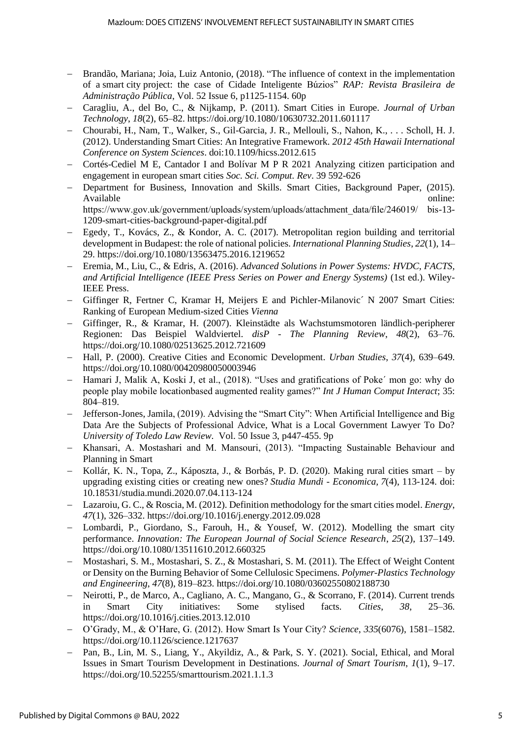- Brandão, Mariana; Joia, Luiz Antonio, (2018). "The influence of context in the implementation of a smart city project: the case of Cidade Inteligente Búzios" *RAP: Revista Brasileira de Administração Pública*, Vol. 52 Issue 6, p1125-1154. 60p
- − Caragliu, A., del Bo, C., & Nijkamp, P. (2011). Smart Cities in Europe. *Journal of Urban Technology*, *18*(2), 65–82. https://doi.org/10.1080/10630732.2011.601117
- − Chourabi, H., Nam, T., Walker, S., Gil-Garcia, J. R., Mellouli, S., Nahon, K., . . . Scholl, H. J. (2012). Understanding Smart Cities: An Integrative Framework. *2012 45th Hawaii International Conference on System Sciences*. doi:10.1109/hicss.2012.615
- − Cortés-Cediel M E, Cantador I and Bolívar M P R 2021 Analyzing citizen participation and engagement in european smart cities *Soc. Sci. Comput. Rev*. 39 592-626
- − Department for Business, Innovation and Skills. Smart Cities, Background Paper, (2015). Available online: https://www.gov.uk/government/uploads/system/uploads/attachment\_data/file/246019/ bis-13- 1209-smart-cities-background-paper-digital.pdf
- − Egedy, T., Kovács, Z., & Kondor, A. C. (2017). Metropolitan region building and territorial development in Budapest: the role of national policies. *International Planning Studies*, *22*(1), 14– 29. https://doi.org/10.1080/13563475.2016.1219652
- − Eremia, M., Liu, C., & Edris, A. (2016). *Advanced Solutions in Power Systems: HVDC, FACTS, and Artificial Intelligence (IEEE Press Series on Power and Energy Systems)* (1st ed.). Wiley-IEEE Press.
- − Giffinger R, Fertner C, Kramar H, Meijers E and Pichler-Milanovic´ N 2007 Smart Cities: Ranking of European Medium-sized Cities *Vienna*
- − Giffinger, R., & Kramar, H. (2007). Kleinstädte als Wachstumsmotoren ländlich-peripherer Regionen: Das Beispiel Waldviertel. *disP - The Planning Review*, *48*(2), 63–76. https://doi.org/10.1080/02513625.2012.721609
- − Hall, P. (2000). Creative Cities and Economic Development. *Urban Studies*, *37*(4), 639–649. https://doi.org/10.1080/00420980050003946
- − Hamari J, Malik A, Koski J, et al., (2018). "Uses and gratifications of Poke´ mon go: why do people play mobile locationbased augmented reality games?" *Int J Human Comput Interact*; 35: 804–819.
- − Jefferson-Jones, Jamila, (2019). Advising the "Smart City": When Artificial Intelligence and Big Data Are the Subjects of Professional Advice, What is a Local Government Lawyer To Do? *University of Toledo Law Review.* Vol. 50 Issue 3, p447-455. 9p
- − Khansari, A. Mostashari and M. Mansouri, (2013). "Impacting Sustainable Behaviour and Planning in Smart
- − Kollár, K. N., Topa, Z., Káposzta, J., & Borbás, P. D. (2020). Making rural cities smart by upgrading existing cities or creating new ones? *Studia Mundi - Economica, 7*(4), 113-124. doi: 10.18531/studia.mundi.2020.07.04.113-124
- − Lazaroiu, G. C., & Roscia, M. (2012). Definition methodology for the smart cities model. *Energy*, *47*(1), 326–332. https://doi.org/10.1016/j.energy.2012.09.028
- − Lombardi, P., Giordano, S., Farouh, H., & Yousef, W. (2012). Modelling the smart city performance. *Innovation: The European Journal of Social Science Research*, *25*(2), 137–149. https://doi.org/10.1080/13511610.2012.660325
- − Mostashari, S. M., Mostashari, S. Z., & Mostashari, S. M. (2011). The Effect of Weight Content or Density on the Burning Behavior of Some Cellulosic Specimens. *Polymer-Plastics Technology and Engineering*, *47*(8), 819–823. https://doi.org/10.1080/03602550802188730
- − Neirotti, P., de Marco, A., Cagliano, A. C., Mangano, G., & Scorrano, F. (2014). Current trends in Smart City initiatives: Some stylised facts. *Cities*, *38*, 25–36. https://doi.org/10.1016/j.cities.2013.12.010
- − O'Grady, M., & O'Hare, G. (2012). How Smart Is Your City? *Science*, *335*(6076), 1581–1582. https://doi.org/10.1126/science.1217637
- − Pan, B., Lin, M. S., Liang, Y., Akyildiz, A., & Park, S. Y. (2021). Social, Ethical, and Moral Issues in Smart Tourism Development in Destinations. *Journal of Smart Tourism*, *1*(1), 9–17. https://doi.org/10.52255/smarttourism.2021.1.1.3